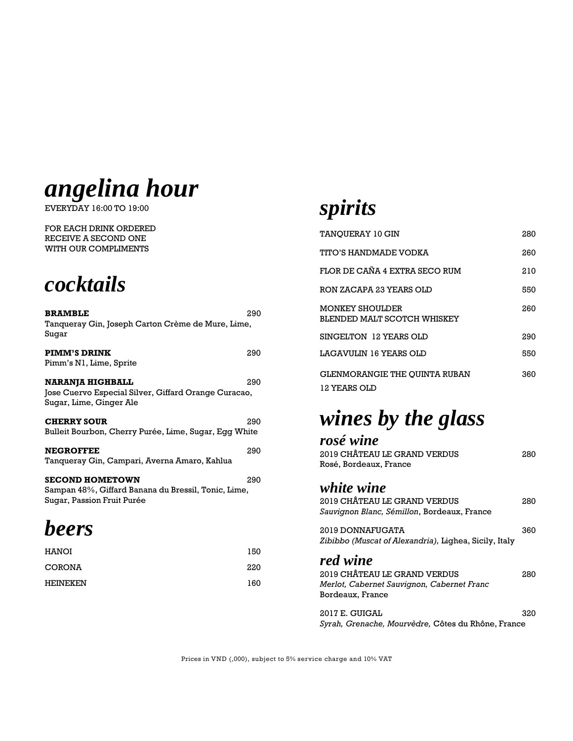

EVERYDAY 16:00 TO 19:00

FOR EACH DRINK ORDERED RECEIVE A SECOND ONE WITH OUR COMPLIMENTS



| <b>BRAMBLE</b><br>Tanqueray Gin, Joseph Carton Crème de Mure, Lime,                                         | 290 |
|-------------------------------------------------------------------------------------------------------------|-----|
| Sugar                                                                                                       |     |
| <b>PIMM'S DRINK</b><br>Pimm's N1, Lime, Sprite                                                              | 290 |
| <b>NARANJA HIGHBALL</b><br>Jose Cuervo Especial Silver, Giffard Orange Curacao,<br>Sugar, Lime, Ginger Ale  | 290 |
| <b>CHERRY SOUR</b><br>Bulleit Bourbon, Cherry Purée, Lime, Sugar, Egg White                                 | 290 |
| <b>NEGROFFEE</b><br>Tangueray Gin, Campari, Averna Amaro, Kahlua                                            | 290 |
| <b>SECOND HOMETOWN</b><br>Sampan 48%, Giffard Banana du Bressil, Tonic, Lime,<br>Sugar, Passion Fruit Purée | 290 |
| <b>beers</b>                                                                                                |     |
| <b>HANOI</b>                                                                                                | 150 |
| <b>CORONA</b>                                                                                               | 220 |

HEINEKEN 160

#### *spirits*

| TANOUERAY 10 GIN                                     | 280 |
|------------------------------------------------------|-----|
| TITO'S HANDMADE VODKA                                | 260 |
| FLOR DE CAÑA 4 EXTRA SECO RUM                        | 210 |
| RON ZACAPA 23 YEARS OLD                              | 550 |
| MONKEY SHOULDER<br>BLENDED MALT SCOTCH WHISKEY       | 260 |
| SINGELTON 12 YEARS OLD                               | 290 |
| LAGAVIJLIN 16 YEARS OLD                              | 550 |
| <b>GLENMORANGIE THE OUINTA RUBAN</b><br>12 YEARS OLD | 360 |

#### *wines by the glass*

| rosé wine                                             |     |
|-------------------------------------------------------|-----|
| 2019 CHÂTEAU LE GRAND VERDUS                          | 280 |
| Rosé, Bordeaux, France                                |     |
| white wine                                            |     |
| 2019 CHÂTEAU LE GRAND VERDUS                          | 280 |
| Sauvignon Blanc, Sémillon, Bordeaux, France           |     |
| 2019 DONNAFUGATA                                      | 360 |
| Zibibbo (Muscat of Alexandria), Lighea, Sicily, Italy |     |
| red wine                                              |     |
| 2019 CHÂTEAU LE GRAND VERDUS                          | 280 |
| Merlot, Cabernet Sauvignon, Cabernet Franc            |     |
| Bordeaux, France                                      |     |
| 2017 E. GUIGAL                                        | 320 |
| Syrah, Grenache, Mourvèdre, Côtes du Rhône, France    |     |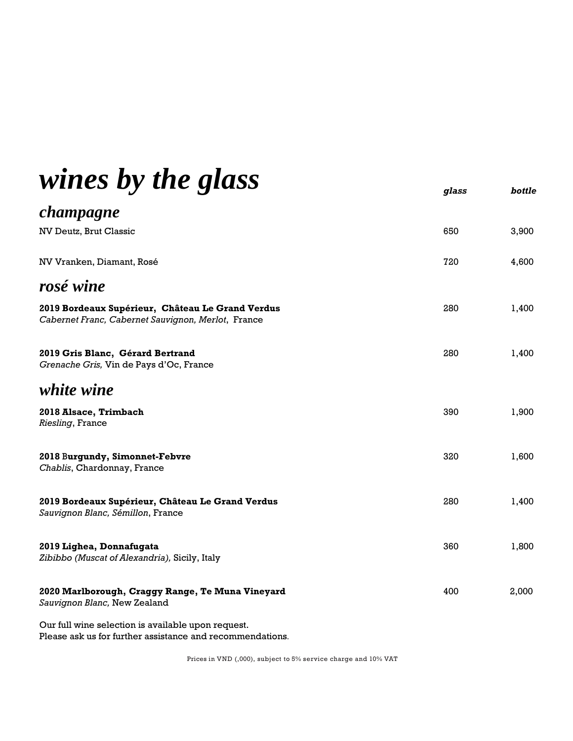| wines by the glass                                                                                     | glass | bottle |
|--------------------------------------------------------------------------------------------------------|-------|--------|
| champagne                                                                                              |       |        |
| NV Deutz, Brut Classic                                                                                 | 650   | 3,900  |
| NV Vranken, Diamant, Rosé                                                                              | 720   | 4,600  |
| rosé wine                                                                                              |       |        |
| 2019 Bordeaux Supérieur, Château Le Grand Verdus<br>Cabernet Franc, Cabernet Sauvignon, Merlot, France | 280   | 1,400  |
| 2019 Gris Blanc, Gérard Bertrand<br>Grenache Gris, Vin de Pays d'Oc, France                            | 280   | 1,400  |
| white wine                                                                                             |       |        |
| 2018 Alsace, Trimbach<br>Riesling, France                                                              | 390   | 1,900  |
| 2018 Burgundy, Simonnet-Febvre<br>Chablis, Chardonnay, France                                          | 320   | 1,600  |
| 2019 Bordeaux Supérieur, Château Le Grand Verdus<br>Sauvignon Blanc, Sémillon, France                  | 280   | 1,400  |
| 2019 Lighea, Donnafugata<br>Zibibbo (Muscat of Alexandria), Sicily, Italy                              | 360   | 1,800  |
| 2020 Marlborough, Craggy Range, Te Muna Vineyard<br>Sauvignon Blanc, New Zealand                       | 400   | 2,000  |
| Our full wine selection is available upon request.                                                     |       |        |

Please ask us for further assistance and recommendations.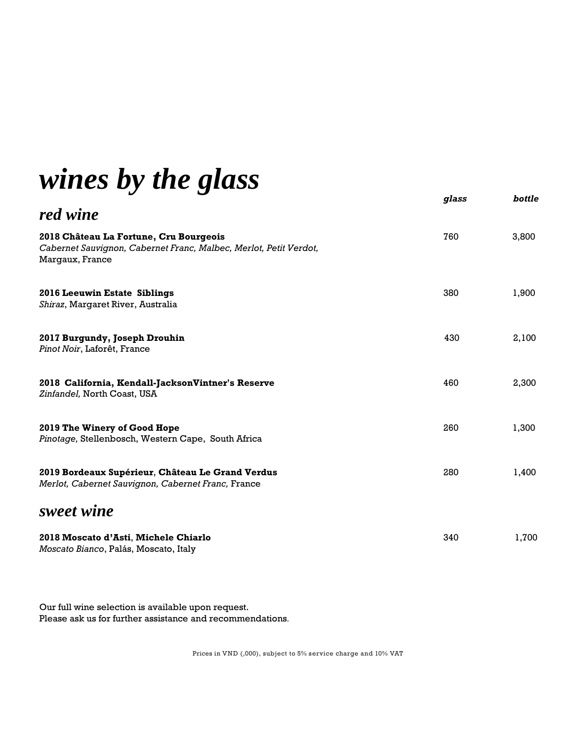## *wines by the glass*

|                                                                                                                                | glass | bottle |
|--------------------------------------------------------------------------------------------------------------------------------|-------|--------|
| red wine                                                                                                                       |       |        |
| 2018 Château La Fortune, Cru Bourgeois<br>Cabernet Sauvignon, Cabernet Franc, Malbec, Merlot, Petit Verdot,<br>Margaux, France | 760   | 3,800  |
| 2016 Leeuwin Estate Siblings<br>Shiraz, Margaret River, Australia                                                              | 380   | 1,900  |
| 2017 Burgundy, Joseph Drouhin<br>Pinot Noir, Laforêt, France                                                                   | 430   | 2,100  |
| 2018 California, Kendall-JacksonVintner's Reserve<br>Zinfandel, North Coast, USA                                               | 460   | 2,300  |
| 2019 The Winery of Good Hope<br>Pinotage, Stellenbosch, Western Cape, South Africa                                             | 260   | 1,300  |
| 2019 Bordeaux Supérieur, Château Le Grand Verdus<br>Merlot, Cabernet Sauvignon, Cabernet Franc, France                         | 280   | 1,400  |
| sweet wine                                                                                                                     |       |        |
| 2018 Moscato d'Asti, Michele Chiarlo<br>Moscato Bianco, Palás, Moscato, Italy                                                  | 340   | 1,700  |

Our full wine selection is available upon request. Please ask us for further assistance and recommendations.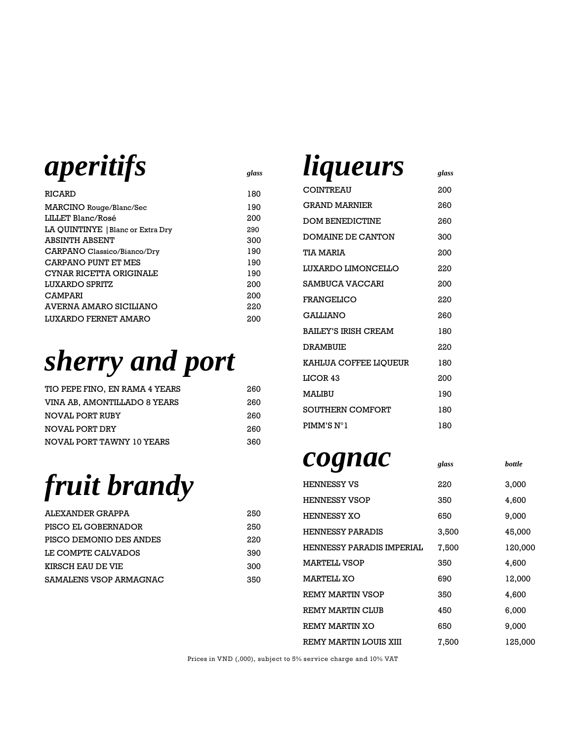

| RICARD                            | 180 |
|-----------------------------------|-----|
| MARCINO Rouge/Blanc/Sec           | 190 |
| LILLET Blanc/Rosé                 | 200 |
| LA QUINTINYE   Blanc or Extra Dry | 290 |
| ABSINTH ABSENT                    | 300 |
| CARPANO Classico/Bianco/Dry       | 190 |
| CARPANO PUNT ET MES               | 190 |
| CYNAR RICETTA ORIGINALE           | 190 |
| LUXARDO SPRITZ                    | 200 |
| <b>CAMPARI</b>                    | 200 |
| AVERNA AMARO SICILIANO            | 220 |
| LUXARDO FERNET AMARO              | 200 |

# *sherry and port*

| TIO PEPE FINO, EN RAMA 4 YEARS | 260 |
|--------------------------------|-----|
| VINA AB. AMONTILLADO 8 YEARS   | 260 |
| NOVAL PORT RUBY                | 260 |
| NOVAL PORT DRY                 | 260 |
| NOVAL PORT TAWNY 10 YEARS      | 360 |

# *fruit brandy*

| 250 |
|-----|
| 250 |
| 220 |
| 390 |
| 300 |
| 350 |
|     |

#### *liqueurs glass*

| COINTREAU              | 200 |
|------------------------|-----|
| <b>GRAND MARNIER</b>   | 260 |
| <b>DOM BENEDICTINE</b> | 260 |
| DOMAINE DE CANTON      | 300 |
| TIA MARIA              | 200 |
| LUXARDO LIMONCELLO     | 220 |
| SAMBUCA VACCARI        | 200 |
| FRANGELICO             | 220 |
| <b>GALLIANO</b>        | 260 |
| BAILEY'S IRISH CREAM   | 180 |
| DRAMBUIF.              | 220 |
| KAHLUA COFFEE LIQUEUR  | 180 |
| LICOR 43               | 200 |
| MALIBU                 | 190 |
| SOUTHERN COMFORT       | 180 |
| PIMM'S N°1             | 180 |

#### *cognac glass bottle*

| <b>HENNESSY VS</b>        | 220   | 3,000   |
|---------------------------|-------|---------|
| <b>HENNESSY VSOP</b>      | 350   | 4,600   |
| <b>HENNESSY XO</b>        | 650   | 9.000   |
| <b>HENNESSY PARADIS</b>   | 3,500 | 45,000  |
| HENNESSY PARADIS IMPERIAL | 7,500 | 120,000 |
| MARTELL VSOP              | 350   | 4,600   |
| MARTELL XO                | 690   | 12,000  |
| REMY MARTIN VSOP          | 350   | 4,600   |
| REMY MARTIN CLUB          | 450   | 6,000   |
| REMY MARTIN XO            | 650   | 9,000   |
| REMY MARTIN LOUIS XIII    | 7,500 | 125,000 |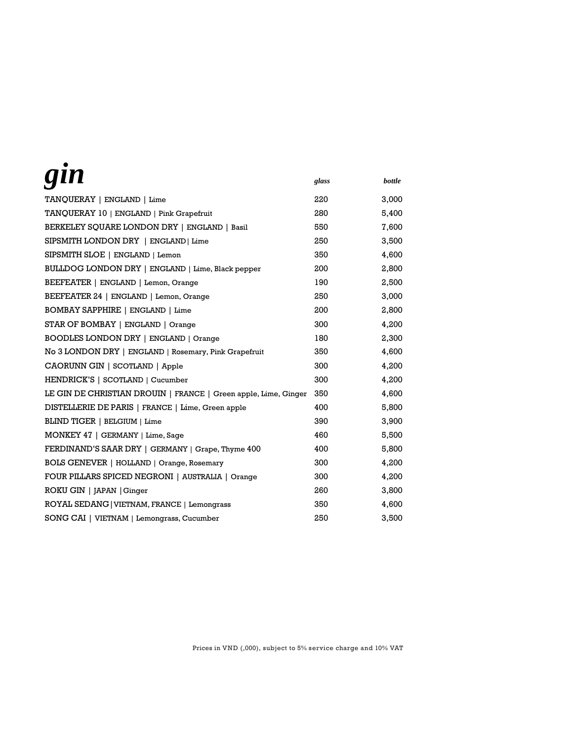| gin                                                             | glass | bottle |
|-----------------------------------------------------------------|-------|--------|
| TANQUERAY   ENGLAND   Lime                                      | 220   | 3,000  |
| TANQUERAY 10   ENGLAND   Pink Grapefruit                        | 280   | 5,400  |
| BERKELEY SQUARE LONDON DRY   ENGLAND   Basil                    | 550   | 7,600  |
| SIPSMITH LONDON DRY   ENGLAND   Lime                            | 250   | 3,500  |
| SIPSMITH SLOE   ENGLAND   Lemon                                 | 350   | 4,600  |
| BULLDOG LONDON DRY   ENGLAND   Lime, Black pepper               | 200   | 2,800  |
| BEEFEATER   ENGLAND   Lemon, Orange                             | 190   | 2,500  |
| BEEFEATER 24   ENGLAND   Lemon, Orange                          | 250   | 3,000  |
| BOMBAY SAPPHIRE   ENGLAND   Lime                                | 200   | 2,800  |
| STAR OF BOMBAY   ENGLAND   Orange                               | 300   | 4,200  |
| BOODLES LONDON DRY   ENGLAND   Orange                           | 180   | 2,300  |
| No 3 LONDON DRY   ENGLAND   Rosemary, Pink Grapefruit           | 350   | 4,600  |
| CAORUNN GIN   SCOTLAND   Apple                                  | 300   | 4,200  |
| HENDRICK'S   SCOTLAND   Cucumber                                | 300   | 4,200  |
| LE GIN DE CHRISTIAN DROUIN   FRANCE   Green apple, Lime, Ginger | 350   | 4,600  |
| DISTELLERIE DE PARIS   FRANCE   Lime, Green apple               | 400   | 5,800  |
| BLIND TIGER   BELGIUM   Lime                                    | 390   | 3,900  |
| MONKEY 47   GERMANY   Lime, Sage                                | 460   | 5,500  |
| FERDINAND'S SAAR DRY   GERMANY   Grape, Thyme 400               | 400   | 5,800  |
| <b>BOLS GENEVER</b>   HOLLAND   Orange, Rosemary                | 300   | 4,200  |
| FOUR PILLARS SPICED NEGRONI   AUSTRALIA   Orange                | 300   | 4,200  |
| ROKU GIN   JAPAN   Ginger                                       | 260   | 3.800  |
| ROYAL SEDANG   VIETNAM, FRANCE   Lemongrass                     | 350   | 4,600  |
| SONG CAI   VIETNAM   Lemongrass, Cucumber                       | 250   | 3,500  |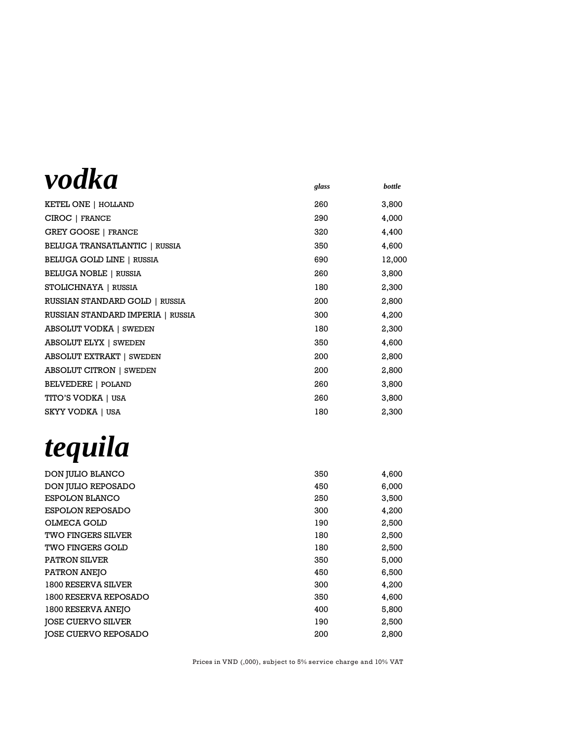### *vodka glass bottle*

|                                   | 8.000 |        |
|-----------------------------------|-------|--------|
| KETEL ONE   HOLLAND               | 260   | 3,800  |
| CIROC   FRANCE                    | 290   | 4,000  |
| <b>GREY GOOSE   FRANCE</b>        | 320   | 4,400  |
| BELUGA TRANSATLANTIC   RUSSIA     | 350   | 4,600  |
| <b>BELUGA GOLD LINE   RUSSIA</b>  | 690   | 12,000 |
| <b>BELUGA NOBLE   RUSSIA</b>      | 260   | 3,800  |
| STOLICHNAYA   RUSSIA              | 180   | 2,300  |
| RUSSIAN STANDARD GOLD   RUSSIA    | 200   | 2,800  |
| RUSSIAN STANDARD IMPERIA   RUSSIA | 300   | 4,200  |
| <b>ABSOLUT VODKA   SWEDEN</b>     | 180   | 2,300  |
| <b>ABSOLUT ELYX   SWEDEN</b>      | 350   | 4,600  |
| <b>ABSOLUT EXTRAKT   SWEDEN</b>   | 200   | 2,800  |
| <b>ABSOLUT CITRON   SWEDEN</b>    | 200   | 2,800  |
| BELVEDERE   POLAND                | 260   | 3,800  |
| TITO'S VODKA   USA                | 260   | 3,800  |
| <b>SKYY VODKA   USA</b>           | 180   | 2,300  |

# *tequila*

| DON JULIO BLANCO            | 350 | 4,600 |
|-----------------------------|-----|-------|
| DON JULIO REPOSADO          | 450 | 6,000 |
| ESPOLON BLANCO              | 250 | 3,500 |
| <b>ESPOLON REPOSADO</b>     | 300 | 4,200 |
| OLMECA GOLD                 | 190 | 2,500 |
| <b>TWO FINGERS SILVER</b>   | 180 | 2,500 |
| <b>TWO FINGERS GOLD</b>     | 180 | 2,500 |
| <b>PATRON SILVER</b>        | 350 | 5,000 |
| PATRON ANEJO                | 450 | 6,500 |
| 1800 RESERVA SILVER         | 300 | 4,200 |
| 1800 RESERVA REPOSADO       | 350 | 4,600 |
| 1800 RESERVA ANEJO          | 400 | 5,800 |
| <b>JOSE CUERVO SILVER</b>   | 190 | 2,500 |
| <b>JOSE CUERVO REPOSADO</b> | 200 | 2,800 |
|                             |     |       |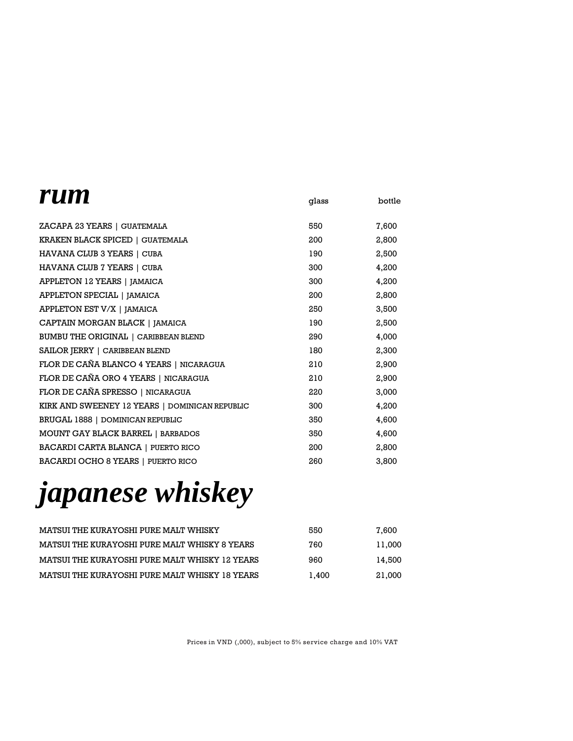| <i>rum</i>                                     | glass | bottle |
|------------------------------------------------|-------|--------|
| ZACAPA 23 YEARS   GUATEMALA                    | 550   | 7,600  |
| KRAKEN BLACK SPICED   GUATEMALA                | 200   | 2,800  |
| HAVANA CLUB 3 YEARS   CUBA                     | 190   | 2,500  |
| HAVANA CLUB 7 YEARS   CUBA                     | 300   | 4,200  |
| APPLETON 12 YEARS   JAMAICA                    | 300   | 4,200  |
| APPLETON SPECIAL   JAMAICA                     | 200   | 2,800  |
| APPLETON EST V/X   JAMAICA                     | 250   | 3,500  |
| CAPTAIN MORGAN BLACK   JAMAICA                 | 190   | 2,500  |
| BUMBU THE ORIGINAL   CARIBBEAN BLEND           | 290   | 4,000  |
| SAILOR JERRY   CARIBBEAN BLEND                 | 180   | 2,300  |
| FLOR DE CAÑA BLANCO 4 YEARS   NICARAGUA        | 210   | 2,900  |
| FLOR DE CAÑA ORO 4 YEARS   NICARAGUA           | 210   | 2,900  |
| FLOR DE CAÑA SPRESSO   NICARAGUA               | 220   | 3,000  |
| KIRK AND SWEENEY 12 YEARS   DOMINICAN REPUBLIC | 300   | 4,200  |
| BRUGAL 1888   DOMINICAN REPUBLIC               | 350   | 4,600  |
| MOUNT GAY BLACK BARREL   BARBADOS              | 350   | 4,600  |
| <b>BACARDI CARTA BLANCA   PUERTO RICO</b>      | 200   | 2,800  |
| <b>BACARDI OCHO 8 YEARS   PUERTO RICO</b>      | 260   | 3,800  |

# *japanese whiskey*

| MATSUI THE KURAYOSHI PURE MALT WHISKY          | 550   | 7.600  |
|------------------------------------------------|-------|--------|
| MATSUI THE KURAYOSHI PURE MALT WHISKY 8 YEARS  | 760   | 11.000 |
| MATSUI THE KURAYOSHI PURE MALT WHISKY 12 YEARS | 960   | 14.500 |
| MATSUI THE KURAYOSHI PURE MALT WHISKY 18 YEARS | 1.400 | 21.000 |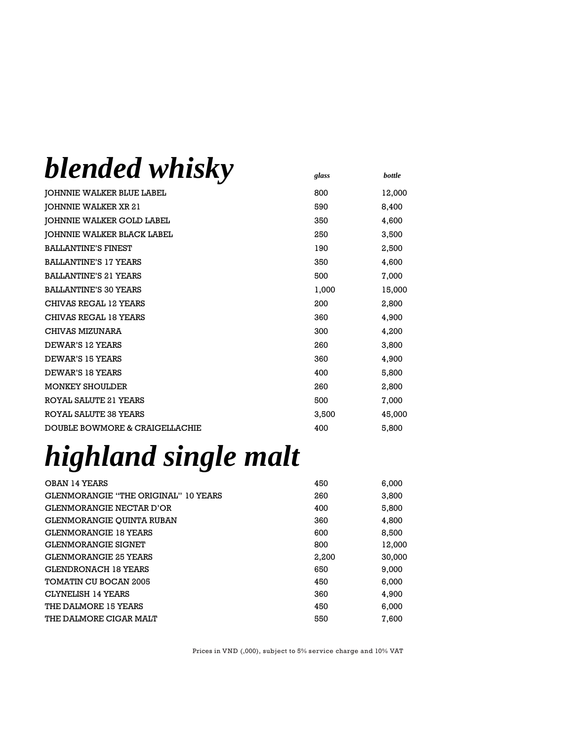| blended whisky                            |       |               |
|-------------------------------------------|-------|---------------|
|                                           | glass | <b>bottle</b> |
| JOHNNIE WALKER BLUE LABEL                 | 800   | 12,000        |
| JOHNNIE WALKER XR 21                      | 590   | 8,400         |
| JOHNNIE WALKER GOLD LABEL                 | 350   | 4,600         |
| JOHNNIE WALKER BLACK LABEL                | 250   | 3,500         |
| <b>BALLANTINE'S FINEST</b>                | 190   | 2,500         |
| <b>BALLANTINE'S 17 YEARS</b>              | 350   | 4,600         |
| <b>BALLANTINE'S 21 YEARS</b>              | 500   | 7,000         |
| <b>BALLANTINE'S 30 YEARS</b>              | 1,000 | 15,000        |
| CHIVAS REGAL 12 YEARS                     | 200   | 2,800         |
| CHIVAS REGAL 18 YEARS                     | 360   | 4,900         |
| CHIVAS MIZUNARA                           | 300   | 4,200         |
| DEWAR'S 12 YEARS                          | 260   | 3,800         |
| DEWAR'S 15 YEARS                          | 360   | 4,900         |
| DEWAR'S 18 YEARS                          | 400   | 5,800         |
| <b>MONKEY SHOULDER</b>                    | 260   | 2,800         |
| <b>ROYAL SALUTE 21 YEARS</b>              | 500   | 7,000         |
| ROYAL SALUTE 38 YEARS                     | 3,500 | 45,000        |
| <b>DOUBLE BOWMORE &amp; CRAIGELLACHIE</b> | 400   | 5,800         |

# *highland single malt*

| OBAN 14 YEARS                               | 450   | 6,000  |
|---------------------------------------------|-------|--------|
| <b>GLENMORANGIE "THE ORIGINAL" 10 YEARS</b> | 260   | 3.800  |
| <b>GLENMORANGIE NECTAR D'OR</b>             | 400   | 5,800  |
| <b>GLENMORANGIE OUINTA RUBAN</b>            | 360   | 4,800  |
| <b>GLENMORANGIE 18 YEARS</b>                | 600   | 8,500  |
| <b>GLENMORANGIE SIGNET</b>                  | 800   | 12.000 |
| <b>GLENMORANGIE 25 YEARS</b>                | 2,200 | 30,000 |
| GLENDRONACH 18 YEARS                        | 650   | 9.000  |
| <b>TOMATIN CU BOCAN 2005</b>                | 450   | 6,000  |
| CLYNELISH 14 YEARS                          | 360   | 4.900  |
| THE DALMORE 15 YEARS                        | 450   | 6,000  |
| THE DALMORE CIGAR MALT                      | 550   | 7,600  |
|                                             |       |        |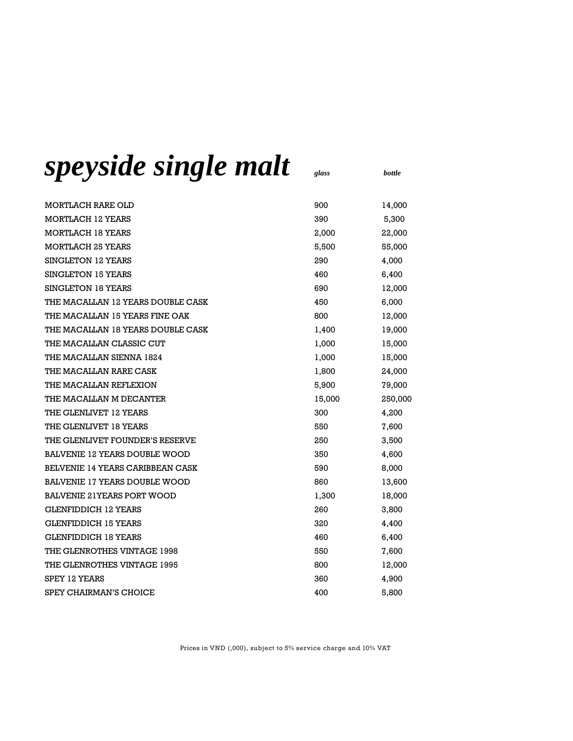## *speyside single malt glass bottle*

| MORTLACH RARE OLD                    | 900    | 14,000  |
|--------------------------------------|--------|---------|
| MORTLACH 12 YEARS                    | 390    | 5,300   |
| MORTLACH 18 YEARS                    | 2,000  | 22,000  |
| <b>MORTLACH 25 YEARS</b>             | 5,500  | 55,000  |
| <b>SINGLETON 12 YEARS</b>            | 290    | 4,000   |
| SINGLETON 15 YEARS                   | 460    | 6,400   |
| <b>SINGLETON 18 YEARS</b>            | 690    | 12,000  |
| THE MACALLAN 12 YEARS DOUBLE CASK    | 450    | 6,000   |
| THE MACALLAN 15 YEARS FINE OAK       | 800    | 12,000  |
| THE MACALLAN 18 YEARS DOUBLE CASK    | 1,400  | 19,000  |
| THE MACALLAN CLASSIC CUT             | 1,000  | 15,000  |
| THE MACALLAN SIENNA 1824             | 1,000  | 15,000  |
| THE MACALLAN RARE CASK               | 1,800  | 24,000  |
| THE MACALLAN REFLEXION               | 5,900  | 79,000  |
| THE MACALLAN M DECANTER              | 15,000 | 250,000 |
| THE GLENLIVET 12 YEARS               | 300    | 4,200   |
| THE GLENLIVET 18 YEARS               | 550    | 7,600   |
| THE GLENLIVET FOUNDER'S RESERVE      | 250    | 3,500   |
| <b>BALVENIE 12 YEARS DOUBLE WOOD</b> | 350    | 4,600   |
| BELVENIE 14 YEARS CARIBBEAN CASK     | 590    | 8,000   |
| BALVENIE 17 YEARS DOUBLE WOOD        | 860    | 13,600  |
| <b>BALVENIE 21YEARS PORT WOOD</b>    | 1,300  | 18,000  |
| <b>GLENFIDDICH 12 YEARS</b>          | 260    | 3,800   |
| <b>GLENFIDDICH 15 YEARS</b>          | 320    | 4,400   |
| <b>GLENFIDDICH 18 YEARS</b>          | 460    | 6,400   |
| THE GLENROTHES VINTAGE 1998          | 550    | 7,600   |
| THE GLENROTHES VINTAGE 1995          | 800    | 12,000  |
| SPEY 12 YEARS                        | 360    | 4,900   |
| SPEY CHAIRMAN'S CHOICE               | 400    | 5,800   |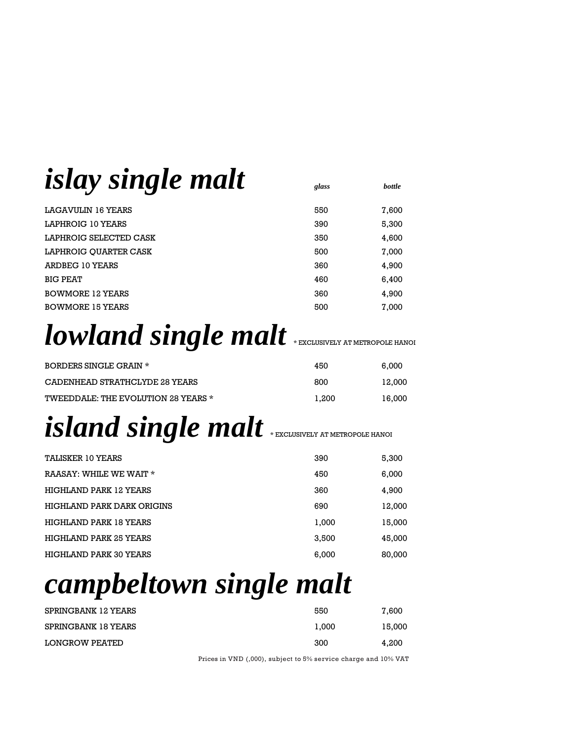# *islay single malt glass bottle*

| LAGAVULIN 16 YEARS      | 550 | 7,600 |
|-------------------------|-----|-------|
| LAPHROIG 10 YEARS       | 390 | 5,300 |
| LAPHROIG SELECTED CASK  | 350 | 4,600 |
| LAPHROIG OUARTER CASK   | 500 | 7,000 |
| ARDBEG 10 YEARS         | 360 | 4,900 |
| <b>BIG PEAT</b>         | 460 | 6,400 |
| <b>BOWMORE 12 YEARS</b> | 360 | 4,900 |
| <b>BOWMORE 15 YEARS</b> | 500 | 7,000 |
|                         |     |       |

## *lowland single malt* \* EXCLUSIVELY AT METROPOLE HANOI

| <b>BORDERS SINGLE GRAIN *</b>       | 450   | 6.000  |
|-------------------------------------|-------|--------|
| CADENHEAD STRATHCLYDE 28 YEARS      | 800   | 12.000 |
| TWEEDDALE: THE EVOLUTION 28 YEARS * | 1.200 | 16,000 |

# *island single malt* \* EXCLUSIVELY AT METROPOLE HANOI

| TALISKER 10 YEARS             | 390   | 5,300  |
|-------------------------------|-------|--------|
| RAASAY: WHILE WE WAIT *       | 450   | 6,000  |
| HIGHLAND PARK 12 YEARS        | 360   | 4,900  |
| HIGHLAND PARK DARK ORIGINS    | 690   | 12,000 |
| HIGHLAND PARK 18 YEARS        | 1,000 | 15,000 |
| HIGHLAND PARK 25 YEARS        | 3,500 | 45,000 |
| <b>HIGHLAND PARK 30 YEARS</b> | 6,000 | 80,000 |

# *campbeltown single malt*

| SPRINGBANK 12 YEARS   | 550   | 7,600  |
|-----------------------|-------|--------|
| SPRINGBANK 18 YEARS   | 1.000 | 15.000 |
| <b>LONGROW PEATED</b> | 300   | 4.200  |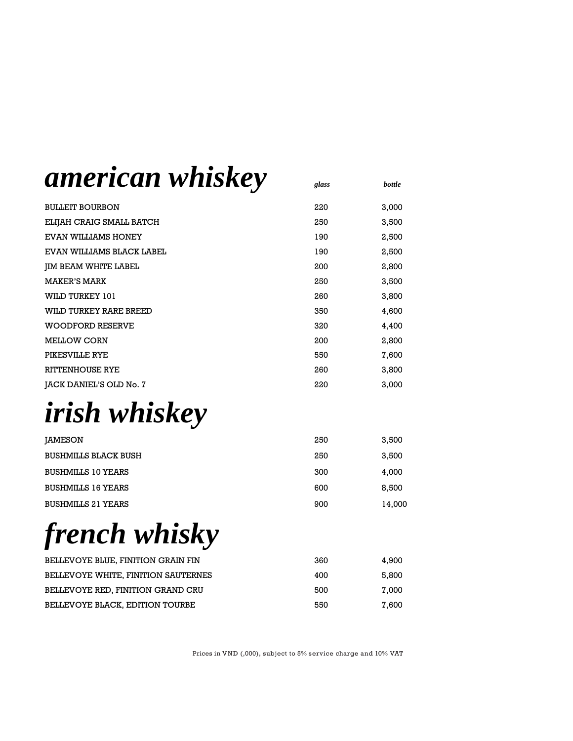### *american whiskey glass bottle*

| <b>BULLEIT BOURBON</b>    | 220 | 3,000 |
|---------------------------|-----|-------|
| ELIJAH CRAIG SMALL BATCH  | 250 | 3,500 |
| EVAN WILLIAMS HONEY       | 190 | 2,500 |
| EVAN WILLIAMS BLACK LABEL | 190 | 2,500 |
| JIM BEAM WHITE LABEL      | 200 | 2,800 |
| <b>MAKER'S MARK</b>       | 250 | 3,500 |
| WILD TURKEY 101           | 260 | 3,800 |
| WILD TURKEY RARE BREED    | 350 | 4,600 |
| <b>WOODFORD RESERVE</b>   | 320 | 4,400 |
| <b>MELLOW CORN</b>        | 200 | 2,800 |
| PIKESVILLE RYE            | 550 | 7,600 |
| <b>RITTENHOUSE RYE</b>    | 260 | 3,800 |
| JACK DANIEL'S OLD No. 7   | 220 | 3,000 |

# *irish whiskey*

| IAMESON                     | 250 | 3,500  |
|-----------------------------|-----|--------|
| <b>BUSHMILLS BLACK BUSH</b> | 250 | 3,500  |
| BUSHMILLS 10 YEARS          | 300 | 4.000  |
| BUSHMILLS 16 YEARS          | 600 | 8,500  |
| <b>BUSHMILLS 21 YEARS</b>   | 900 | 14,000 |

*french whisky*

| BELLEVOYE BLUE, FINITION GRAIN FIN  | 360 | 4.900 |
|-------------------------------------|-----|-------|
| BELLEVOYE WHITE, FINITION SAUTERNES | 400 | 5.800 |
| BELLEVOYE RED. FINITION GRAND CRU   | 500 | 7.000 |
| BELLEVOYE BLACK, EDITION TOURBE     | 550 | 7.600 |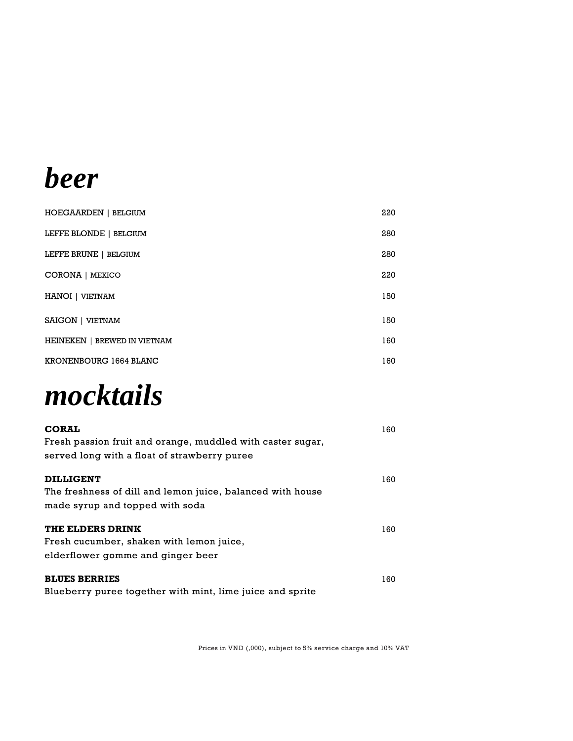## *beer*

| <b>HOEGAARDEN</b>   BELGIUM  | 220 |
|------------------------------|-----|
| LEFFE BLONDE   BELGIUM       | 280 |
| LEFFE BRUNE   BELGIUM        | 280 |
| CORONA   MEXICO              | 220 |
| HANOI   VIETNAM              | 150 |
| <b>SAIGON   VIETNAM</b>      | 150 |
| HEINEKEN   BREWED IN VIETNAM | 160 |
| KRONENBOURG 1664 BLANC       | 160 |



| 160 |
|-----|
| 160 |
|     |
|     |
| 160 |
|     |
|     |
| 160 |
|     |

Blueberry puree together with mint, lime juice and sprite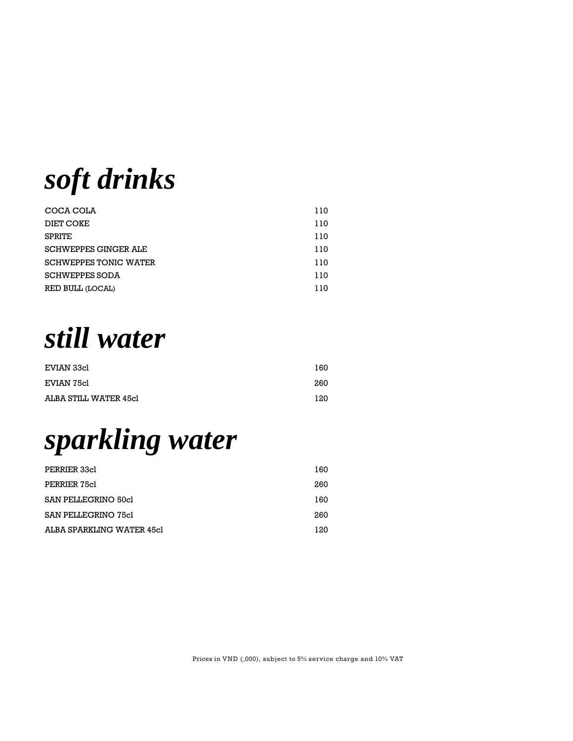*soft drinks*

| COCA COLA                    | 110 |
|------------------------------|-----|
| DIET COKE                    | 110 |
| <b>SPRITE</b>                | 110 |
| <b>SCHWEPPES GINGER ALE</b>  | 110 |
| <b>SCHWEPPES TONIC WATER</b> | 110 |
| <b>SCHWEPPES SODA</b>        | 110 |
| RED BULL (LOCAL)             | 110 |

*still water*

| EVIAN 33cl            | 160 |
|-----------------------|-----|
| EVIAN 75cl            | 260 |
| ALBA STILL WATER 45cl | 120 |

### *sparkling water*

| PERRIER 33cl              | 160 |
|---------------------------|-----|
| PERRIER 75cl              | 260 |
| SAN PELLEGRINO 50cl       | 160 |
| SAN PELLEGRINO 75cl       | 260 |
| ALBA SPARKLING WATER 45cl | 120 |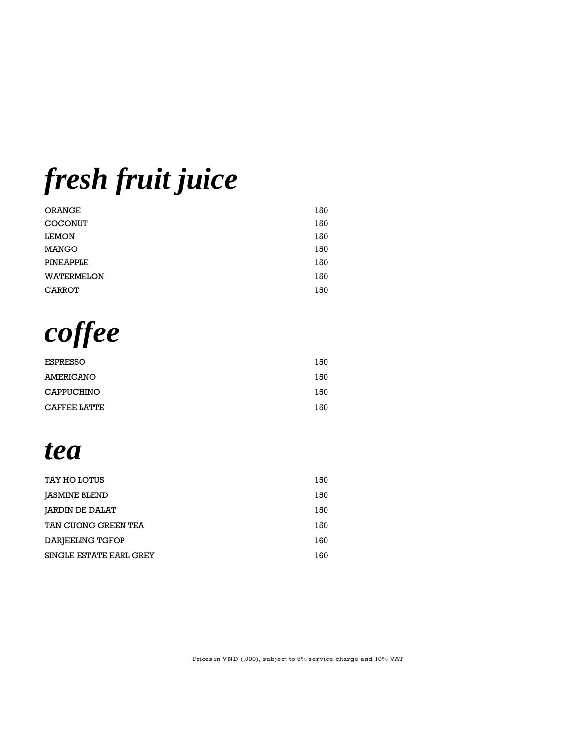*fresh fruit juice*

| <b>ORANGE</b>     | 150 |
|-------------------|-----|
| <b>COCONUT</b>    | 150 |
| <b>LEMON</b>      | 150 |
| <b>MANGO</b>      | 150 |
| PINEAPPLE         | 150 |
| <b>WATERMELON</b> | 150 |
| <b>CARROT</b>     | 150 |

*coffee*

| <b>ESPRESSO</b>     | 150 |
|---------------------|-----|
| AMERICANO           | 150 |
| <b>CAPPUCHINO</b>   | 150 |
| <b>CAFFEE LATTE</b> | 150 |

*tea*

| TAY HO LOTUS            | 150 |
|-------------------------|-----|
| <b>JASMINE BLEND</b>    | 150 |
| <b>JARDIN DE DALAT</b>  | 150 |
| TAN CUONG GREEN TEA     | 150 |
| DARJEELING TGFOP        | 160 |
| SINGLE ESTATE EARL GREY | 160 |